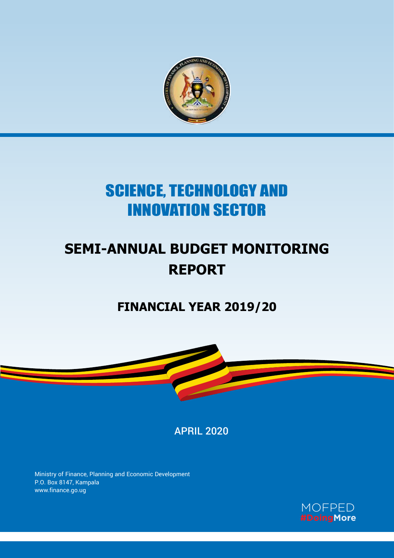

# SCIENCE, TECHNOLOGY AND INNOVATION SECTOR

# **SEMI-ANNUAL BUDGET MONITORING REPORT**

## **FINANCIAL YEAR 2019/20**



APRIL 2020

Ministry of Finance, Planning and Economic Development P.O. Box 8147, Kampala www.finance.go.ug

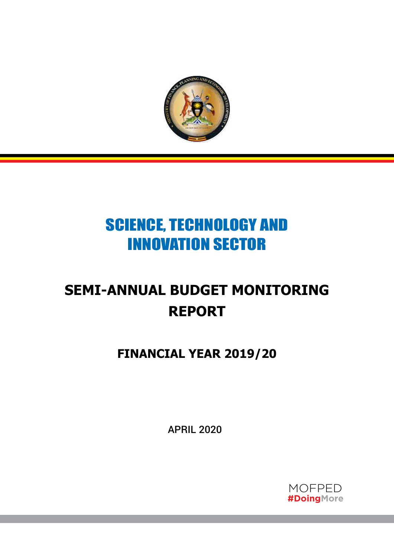

# SCIENCE, TECHNOLOGY AND INNOVATION SECTOR

# **SEMI-ANNUAL BUDGET MONITORING REPORT**

**FINANCIAL YEAR 2019/20**

APRIL 2020

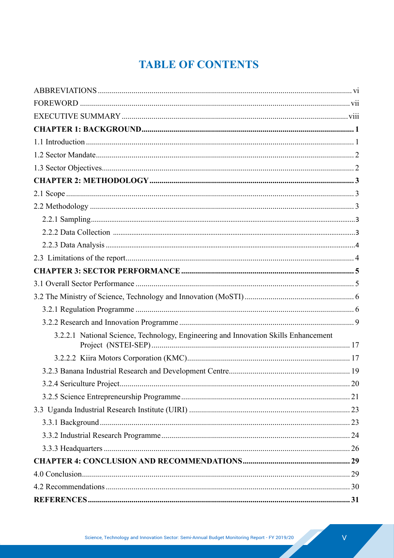## **TABLE OF CONTENTS**

| 3.2.2.1 National Science, Technology, Engineering and Innovation Skills Enhancement |  |
|-------------------------------------------------------------------------------------|--|
|                                                                                     |  |
|                                                                                     |  |
|                                                                                     |  |
|                                                                                     |  |
|                                                                                     |  |
|                                                                                     |  |
|                                                                                     |  |
|                                                                                     |  |
|                                                                                     |  |
|                                                                                     |  |
|                                                                                     |  |
|                                                                                     |  |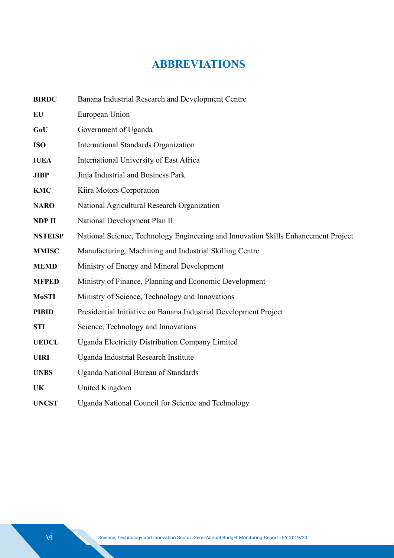## **ABBREVIATIONS**

| <b>BIRDC</b>   | Banana Industrial Research and Development Centre                                  |
|----------------|------------------------------------------------------------------------------------|
| <b>EU</b>      | European Union                                                                     |
| GoU            | Government of Uganda                                                               |
| <b>ISO</b>     | <b>International Standards Organization</b>                                        |
| <b>IUEA</b>    | International University of East Africa                                            |
| <b>JIBP</b>    | Jinja Industrial and Business Park                                                 |
| <b>KMC</b>     | Kiira Motors Corporation                                                           |
| <b>NARO</b>    | National Agricultural Research Organization                                        |
| NDP II         | National Development Plan II                                                       |
| <b>NSTEISP</b> | National Science, Technology Engineering and Innovation Skills Enhancement Project |
| <b>MMISC</b>   | Manufacturing, Machining and Industrial Skilling Centre                            |
| <b>MEMD</b>    | Ministry of Energy and Mineral Development                                         |
| <b>MFPED</b>   | Ministry of Finance, Planning and Economic Development                             |
| <b>MoSTI</b>   | Ministry of Science, Technology and Innovations                                    |
| <b>PIBID</b>   | Presidential Initiative on Banana Industrial Development Project                   |
| <b>STI</b>     | Science, Technology and Innovations                                                |
| <b>UEDCL</b>   | Uganda Electricity Distribution Company Limited                                    |
| <b>UIRI</b>    | Uganda Industrial Research Institute                                               |
| <b>UNBS</b>    | <b>Uganda National Bureau of Standards</b>                                         |
| UK             | United Kingdom                                                                     |
| <b>UNCST</b>   | Uganda National Council for Science and Technology                                 |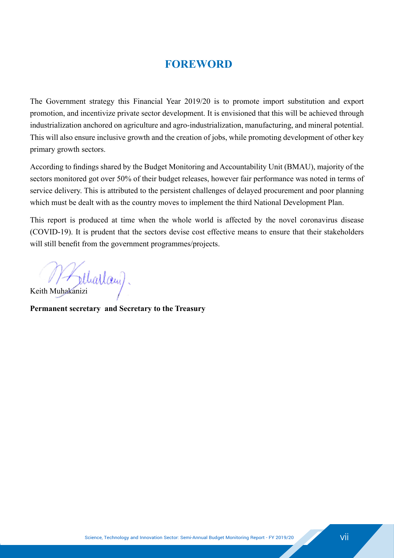### **FOREWORD**

The Government strategy this Financial Year 2019/20 is to promote import substitution and export promotion, and incentivize private sector development. It is envisioned that this will be achieved through industrialization anchored on agriculture and agro-industrialization, manufacturing, and mineral potential. This will also ensure inclusive growth and the creation of jobs, while promoting development of other key primary growth sectors.

According to findings shared by the Budget Monitoring and Accountability Unit (BMAU), majority of the sectors monitored got over 50% of their budget releases, however fair performance was noted in terms of service delivery. This is attributed to the persistent challenges of delayed procurement and poor planning which must be dealt with as the country moves to implement the third National Development Plan.

This report is produced at time when the whole world is affected by the novel coronavirus disease (COVID-19). It is prudent that the sectors devise cost effective means to ensure that their stakeholders will still benefit from the government programmes/projects.

Keith Muhakanizi

**Permanent secretary and Secretary to the Treasury**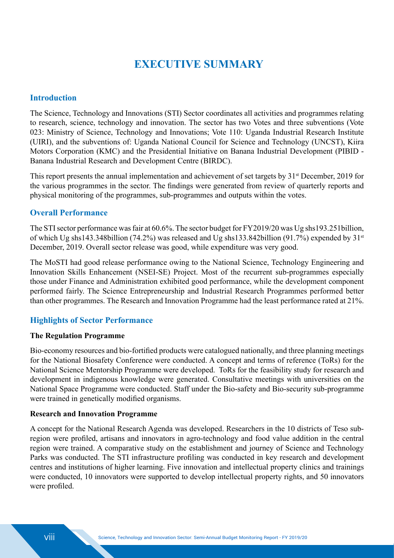## **EXECUTIVE SUMMARY**

#### **Introduction**

The Science, Technology and Innovations (STI) Sector coordinates all activities and programmes relating to research, science, technology and innovation. The sector has two Votes and three subventions (Vote 023: Ministry of Science, Technology and Innovations; Vote 110: Uganda Industrial Research Institute (UIRI), and the subventions of: Uganda National Council for Science and Technology (UNCST), Kiira Motors Corporation (KMC) and the Presidential Initiative on Banana Industrial Development (PIBID - Banana Industrial Research and Development Centre (BIRDC).

This report presents the annual implementation and achievement of set targets by 31<sup>st</sup> December, 2019 for the various programmes in the sector. The findings were generated from review of quarterly reports and physical monitoring of the programmes, sub-programmes and outputs within the votes.

#### **Overall Performance**

The STI sector performance was fair at 60.6%. The sector budget for FY2019/20 was Ug shs193.251billion, of which Ug shs143.348billion (74.2%) was released and Ug shs133.842billion (91.7%) expended by  $31<sup>st</sup>$ December, 2019. Overall sector release was good, while expenditure was very good.

The MoSTI had good release performance owing to the National Science, Technology Engineering and Innovation Skills Enhancement (NSEI-SE) Project. Most of the recurrent sub-programmes especially those under Finance and Administration exhibited good performance, while the development component performed fairly. The Science Entrepreneurship and Industrial Research Programmes performed better than other programmes. The Research and Innovation Programme had the least performance rated at 21%.

#### **Highlights of Sector Performance**

#### **The Regulation Programme**

Bio-economy resources and bio-fortified products were catalogued nationally, and three planning meetings for the National Biosafety Conference were conducted. A concept and terms of reference (ToRs) for the National Science Mentorship Programme were developed. ToRs for the feasibility study for research and development in indigenous knowledge were generated. Consultative meetings with universities on the National Space Programme were conducted. Staff under the Bio-safety and Bio-security sub-programme were trained in genetically modified organisms.

#### **Research and Innovation Programme**

A concept for the National Research Agenda was developed. Researchers in the 10 districts of Teso subregion were profiled, artisans and innovators in agro-technology and food value addition in the central region were trained. A comparative study on the establishment and journey of Science and Technology Parks was conducted. The STI infrastructure profiling was conducted in key research and development centres and institutions of higher learning. Five innovation and intellectual property clinics and trainings were conducted, 10 innovators were supported to develop intellectual property rights, and 50 innovators were profiled.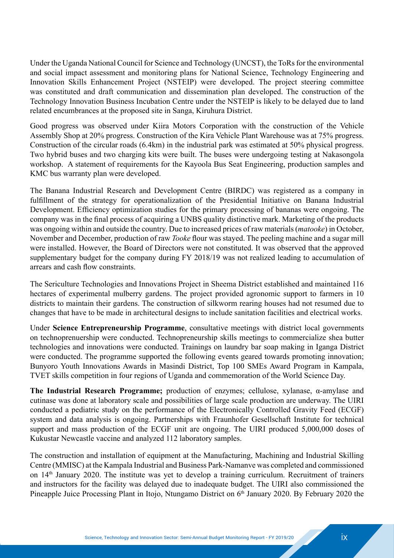Under the Uganda National Council for Science and Technology (UNCST), the ToRs for the environmental and social impact assessment and monitoring plans for National Science, Technology Engineering and Innovation Skills Enhancement Project (NSTEIP) were developed. The project steering committee was constituted and draft communication and dissemination plan developed. The construction of the Technology Innovation Business Incubation Centre under the NSTEIP is likely to be delayed due to land related encumbrances at the proposed site in Sanga, Kiruhura District.

Good progress was observed under Kiira Motors Corporation with the construction of the Vehicle Assembly Shop at 20% progress. Construction of the Kira Vehicle Plant Warehouse was at 75% progress. Construction of the circular roads (6.4km) in the industrial park was estimated at 50% physical progress. Two hybrid buses and two charging kits were built. The buses were undergoing testing at Nakasongola workshop. A statement of requirements for the Kayoola Bus Seat Engineering, production samples and KMC bus warranty plan were developed.

The Banana Industrial Research and Development Centre (BIRDC) was registered as a company in fulfillment of the strategy for operationalization of the Presidential Initiative on Banana Industrial Development. Efficiency optimization studies for the primary processing of bananas were ongoing. The company was in the final process of acquiring a UNBS quality distinctive mark. Marketing of the products was ongoing within and outside the country. Due to increased prices of raw materials (*matooke*) in October, November and December, production of raw *Tooke* flour was stayed. The peeling machine and a sugar mill were installed. However, the Board of Directors were not constituted. It was observed that the approved supplementary budget for the company during FY 2018/19 was not realized leading to accumulation of arrears and cash flow constraints.

The Sericulture Technologies and Innovations Project in Sheema District established and maintained 116 hectares of experimental mulberry gardens. The project provided agronomic support to farmers in 10 districts to maintain their gardens. The construction of silkworm rearing houses had not resumed due to changes that have to be made in architectural designs to include sanitation facilities and electrical works.

Under **Science Entrepreneurship Programme**, consultative meetings with district local governments on technoprenuership were conducted. Technopreneurship skills meetings to commercialize shea butter technologies and innovations were conducted. Trainings on laundry bar soap making in Iganga District were conducted. The programme supported the following events geared towards promoting innovation; Bunyoro Youth Innovations Awards in Masindi District, Top 100 SMEs Award Program in Kampala, TVET skills competition in four regions of Uganda and commemoration of the World Science Day.

**The Industrial Research Programme;** production of enzymes; cellulose, xylanase, α-amylase and cutinase was done at laboratory scale and possibilities of large scale production are underway. The UIRI conducted a pediatric study on the performance of the Electronically Controlled Gravity Feed (ECGF) system and data analysis is ongoing. Partnerships with Fraunhofer Gesellschaft Institute for technical support and mass production of the ECGF unit are ongoing. The UIRI produced 5,000,000 doses of Kukustar Newcastle vaccine and analyzed 112 laboratory samples.

The construction and installation of equipment at the Manufacturing, Machining and Industrial Skilling Centre (MMISC) at the Kampala Industrial and Business Park-Namanve was completed and commissioned on 14th January 2020. The institute was yet to develop a training curriculum. Recruitment of trainers and instructors for the facility was delayed due to inadequate budget. The UIRI also commissioned the Pineapple Juice Processing Plant in Itojo, Ntungamo District on 6<sup>th</sup> January 2020. By February 2020 the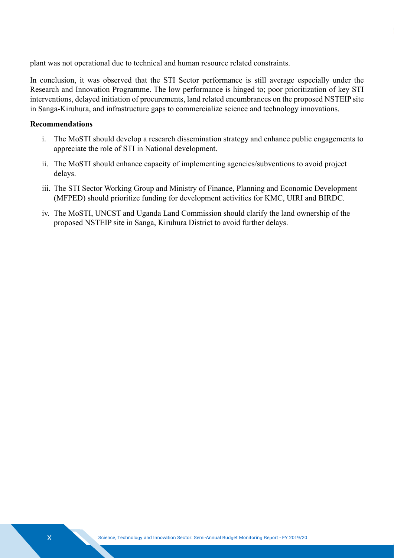plant was not operational due to technical and human resource related constraints.

In conclusion, it was observed that the STI Sector performance is still average especially under the Research and Innovation Programme. The low performance is hinged to; poor prioritization of key STI interventions, delayed initiation of procurements, land related encumbrances on the proposed NSTEIP site in Sanga-Kiruhura, and infrastructure gaps to commercialize science and technology innovations.

#### **Recommendations**

- i. The MoSTI should develop a research dissemination strategy and enhance public engagements to appreciate the role of STI in National development.
- ii. The MoSTI should enhance capacity of implementing agencies/subventions to avoid project delays.
- iii. The STI Sector Working Group and Ministry of Finance, Planning and Economic Development (MFPED) should prioritize funding for development activities for KMC, UIRI and BIRDC.
- iv. The MoSTI, UNCST and Uganda Land Commission should clarify the land ownership of the proposed NSTEIP site in Sanga, Kiruhura District to avoid further delays.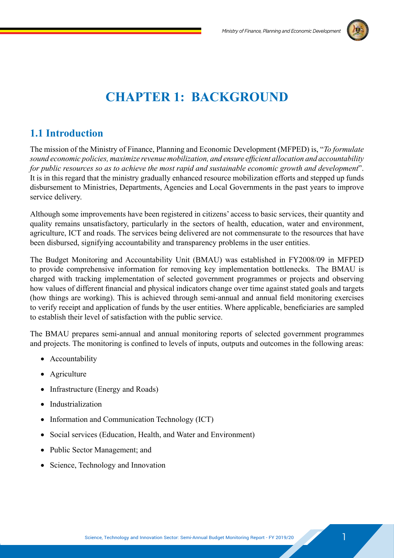

## **CHAPTER 1: BACKGROUND**

### **1.1 Introduction**

The mission of the Ministry of Finance, Planning and Economic Development (MFPED) is, "*To formulate sound economic policies, maximize revenue mobilization, and ensure efficient allocation and accountability for public resources so as to achieve the most rapid and sustainable economic growth and development*". It is in this regard that the ministry gradually enhanced resource mobilization efforts and stepped up funds disbursement to Ministries, Departments, Agencies and Local Governments in the past years to improve service delivery.

Although some improvements have been registered in citizens' access to basic services, their quantity and quality remains unsatisfactory, particularly in the sectors of health, education, water and environment, agriculture, ICT and roads. The services being delivered are not commensurate to the resources that have been disbursed, signifying accountability and transparency problems in the user entities.

The Budget Monitoring and Accountability Unit (BMAU) was established in FY2008/09 in MFPED to provide comprehensive information for removing key implementation bottlenecks. The BMAU is charged with tracking implementation of selected government programmes or projects and observing how values of different financial and physical indicators change over time against stated goals and targets (how things are working). This is achieved through semi-annual and annual field monitoring exercises to verify receipt and application of funds by the user entities. Where applicable, beneficiaries are sampled to establish their level of satisfaction with the public service.

The BMAU prepares semi-annual and annual monitoring reports of selected government programmes and projects. The monitoring is confined to levels of inputs, outputs and outcomes in the following areas:

- Accountability
- Agriculture
- Infrastructure (Energy and Roads)
- Industrialization
- Information and Communication Technology (ICT)
- Social services (Education, Health, and Water and Environment)
- Public Sector Management; and
- Science, Technology and Innovation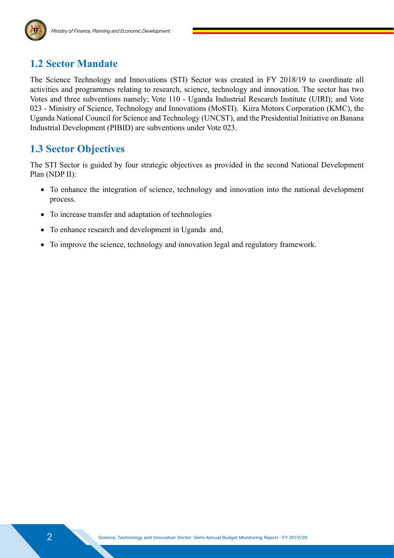

### **1.2 Sector Mandate**

The Science Technology and Innovations (STI) Sector was created in FY 2018/19 to coordinate all activities and programmes relating to research, science, technology and innovation. The sector has two Votes and three subventions namely; Vote 110 - Uganda Industrial Research Institute (UIRI); and Vote 023 - Ministry of Science, Technology and Innovations (MoSTI). Kiira Motors Corporation (KMC), the Uganda National Council for Science and Technology (UNCST), and the Presidential Initiative on Banana Industrial Development (PIBID) are subventions under Vote 023.

### **1.3 Sector Objectives**

The STI Sector is guided by four strategic objectives as provided in the second National Development Plan (NDP II):

- To enhance the integration of science, technology and innovation into the national development process.
- To increase transfer and adaptation of technologies
- To enhance research and development in Uganda and,
- To improve the science, technology and innovation legal and regulatory framework.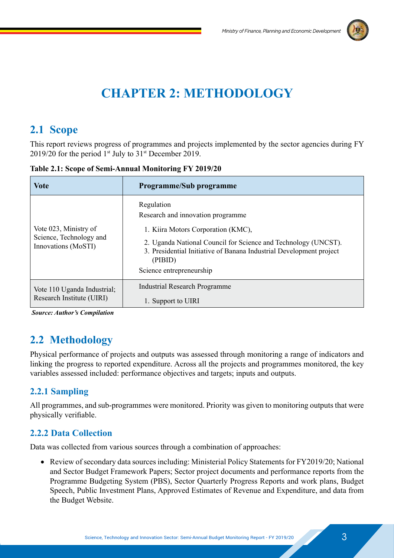

## **CHAPTER 2: METHODOLOGY**

## **2.1 Scope**

This report reviews progress of programmes and projects implemented by the sector agencies during FY 2019/20 for the period  $1<sup>st</sup>$  July to  $31<sup>st</sup>$  December 2019.

| Vote                                                                    | <b>Programme/Sub programme</b>                                                                                                                                                                                                                                         |
|-------------------------------------------------------------------------|------------------------------------------------------------------------------------------------------------------------------------------------------------------------------------------------------------------------------------------------------------------------|
| Vote 023, Ministry of<br>Science, Technology and<br>Innovations (MoSTI) | Regulation<br>Research and innovation programme.<br>1. Kiira Motors Corporation (KMC),<br>2. Uganda National Council for Science and Technology (UNCST).<br>3. Presidential Initiative of Banana Industrial Development project<br>(PIBID)<br>Science entrepreneurship |
| Vote 110 Uganda Industrial;<br>Research Institute (UIRI)                | <b>Industrial Research Programme</b><br>1. Support to UIRI                                                                                                                                                                                                             |

**Table 2.1: Scope of Semi-Annual Monitoring FY 2019/20**

 *Source: Author's Compilation*

## **2.2 Methodology**

Physical performance of projects and outputs was assessed through monitoring a range of indicators and linking the progress to reported expenditure. Across all the projects and programmes monitored, the key variables assessed included: performance objectives and targets; inputs and outputs.

#### **2.2.1 Sampling**

All programmes, and sub-programmes were monitored. Priority was given to monitoring outputs that were physically verifiable.

#### **2.2.2 Data Collection**

Data was collected from various sources through a combination of approaches:

• Review of secondary data sources including: Ministerial Policy Statements for FY2019/20; National and Sector Budget Framework Papers; Sector project documents and performance reports from the Programme Budgeting System (PBS), Sector Quarterly Progress Reports and work plans, Budget Speech, Public Investment Plans, Approved Estimates of Revenue and Expenditure, and data from the Budget Website.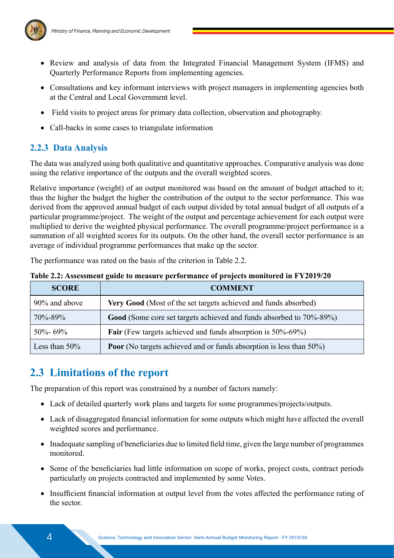

- Review and analysis of data from the Integrated Financial Management System (IFMS) and Quarterly Performance Reports from implementing agencies.
- Consultations and key informant interviews with project managers in implementing agencies both at the Central and Local Government level.
- Field visits to project areas for primary data collection, observation and photography.
- Call-backs in some cases to triangulate information

#### **2.2.3 Data Analysis**

The data was analyzed using both qualitative and quantitative approaches. Comparative analysis was done using the relative importance of the outputs and the overall weighted scores.

Relative importance (weight) of an output monitored was based on the amount of budget attached to it; thus the higher the budget the higher the contribution of the output to the sector performance. This was derived from the approved annual budget of each output divided by total annual budget of all outputs of a particular programme/project. The weight of the output and percentage achievement for each output were multiplied to derive the weighted physical performance. The overall programme/project performance is a summation of all weighted scores for its outputs. On the other hand, the overall sector performance is an average of individual programme performances that make up the sector.

The performance was rated on the basis of the criterion in Table 2.2.

| Table 2.2: Assessment guide to measure performance of projects monitored in FY2019/20 |  |  |  |  |
|---------------------------------------------------------------------------------------|--|--|--|--|
|---------------------------------------------------------------------------------------|--|--|--|--|

| <b>SCORE</b>     | <b>COMMENT</b>                                                             |
|------------------|----------------------------------------------------------------------------|
| 90% and above    | Very Good (Most of the set targets achieved and funds absorbed)            |
| 70%-89%          | Good (Some core set targets achieved and funds absorbed to 70%-89%)        |
| $50\% - 69\%$    | <b>Fair</b> (Few targets achieved and funds absorption is 50%-69%)         |
| Less than $50\%$ | <b>Poor</b> (No targets achieved and or funds absorption is less than 50%) |

## **2.3 Limitations of the report**

The preparation of this report was constrained by a number of factors namely:

- Lack of detailed quarterly work plans and targets for some programmes/projects/outputs.
- Lack of disaggregated financial information for some outputs which might have affected the overall weighted scores and performance.
- Inadequate sampling of beneficiaries due to limited field time, given the large number of programmes monitored.
- Some of the beneficiaries had little information on scope of works, project costs, contract periods particularly on projects contracted and implemented by some Votes.
- Insufficient financial information at output level from the votes affected the performance rating of the sector.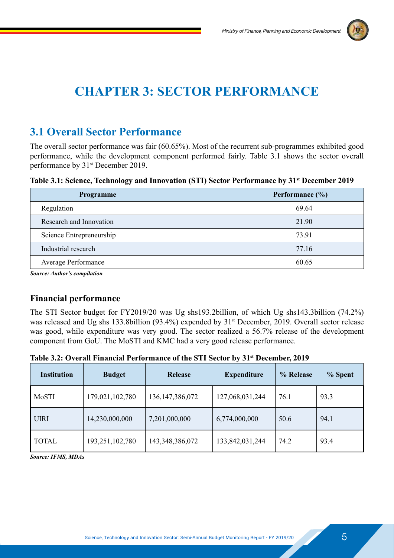

## **CHAPTER 3: SECTOR PERFORMANCE**

### **3.1 Overall Sector Performance**

The overall sector performance was fair (60.65%). Most of the recurrent sub-programmes exhibited good performance, while the development component performed fairly. Table 3.1 shows the sector overall performance by 31st December 2019.

**Table 3.1: Science, Technology and Innovation (STI) Sector Performance by 31st December 2019**

| Programme                           | Performance $(\% )$ |
|-------------------------------------|---------------------|
| Regulation                          | 69.64               |
| Research and Innovation             | 21.90               |
| Science Entrepreneurship            | 73.91               |
| Industrial research                 | 77.16               |
| <b>Average Performance</b>          | 60.65               |
| <b>Source: Author's compilation</b> |                     |

**Financial performance**

The STI Sector budget for FY2019/20 was Ug shs193.2billion, of which Ug shs143.3billion (74.2%) was released and Ug shs 133.8billion (93.4%) expended by  $31<sup>st</sup>$  December, 2019. Overall sector release was good, while expenditure was very good. The sector realized a 56.7% release of the development component from GoU. The MoSTI and KMC had a very good release performance.

**Table 3.2: Overall Financial Performance of the STI Sector by 31st December, 2019** 

| <b>Institution</b> | <b>Budget</b>   | <b>Release</b>     | <b>Expenditure</b> | % Release | % Spent |
|--------------------|-----------------|--------------------|--------------------|-----------|---------|
| MoSTI              | 179,021,102,780 | 136, 147, 386, 072 | 127,068,031,244    | 76.1      | 93.3    |
| <b>UIRI</b>        | 14,230,000,000  | 7,201,000,000      | 6,774,000,000      | 50.6      | 94.1    |
| <b>TOTAL</b>       | 193,251,102,780 | 143,348,386,072    | 133,842,031,244    | 74.2      | 93.4    |

*Source: IFMS, MDAs*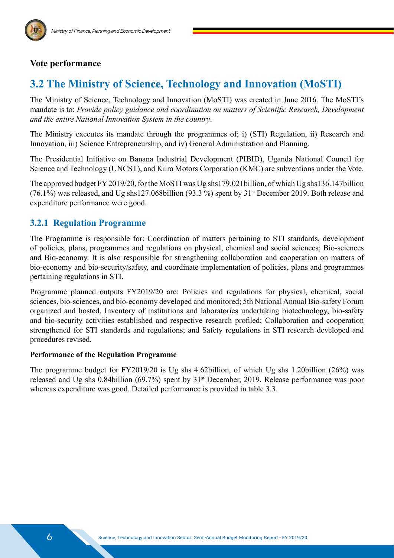

#### **Vote performance**

### **3.2 The Ministry of Science, Technology and Innovation (MoSTI)**

The Ministry of Science, Technology and Innovation (MoSTI) was created in June 2016. The MoSTI's mandate is to: *Provide policy guidance and coordination on matters of Scientific Research, Development and the entire National Innovation System in the country*.

The Ministry executes its mandate through the programmes of; i) (STI) Regulation, ii) Research and Innovation, iii) Science Entrepreneurship, and iv) General Administration and Planning.

The Presidential Initiative on Banana Industrial Development (PIBID), Uganda National Council for Science and Technology (UNCST), and Kiira Motors Corporation (KMC) are subventions under the Vote.

The approved budget FY 2019/20, for the MoSTI was Ug shs179.021billion, of which Ug shs136.147billion (76.1%) was released, and Ug shs127.068billion (93.3 %) spent by 31st December 2019. Both release and expenditure performance were good.

#### **3.2.1 Regulation Programme**

The Programme is responsible for: Coordination of matters pertaining to STI standards, development of policies, plans, programmes and regulations on physical, chemical and social sciences; Bio-sciences and Bio-economy. It is also responsible for strengthening collaboration and cooperation on matters of bio-economy and bio-security/safety, and coordinate implementation of policies, plans and programmes pertaining regulations in STI.

Programme planned outputs FY2019/20 are: Policies and regulations for physical, chemical, social sciences, bio-sciences, and bio-economy developed and monitored; 5th National Annual Bio-safety Forum organized and hosted, Inventory of institutions and laboratories undertaking biotechnology, bio-safety and bio-security activities established and respective research profiled; Collaboration and cooperation strengthened for STI standards and regulations; and Safety regulations in STI research developed and procedures revised.

#### **Performance of the Regulation Programme**

The programme budget for FY2019/20 is Ug shs 4.62billion, of which Ug shs 1.20billion (26%) was released and Ug shs 0.84billion (69.7%) spent by 31st December, 2019. Release performance was poor whereas expenditure was good. Detailed performance is provided in table 3.3.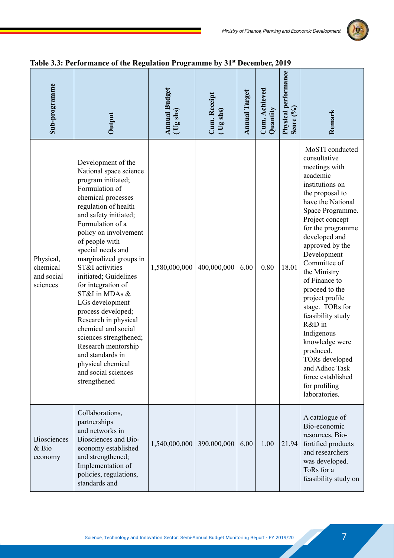

| Sub-programme                                   | Output                                                                                                                                                                                                                                                                                                                                                                                                                                                                                                                                                                                 | <b>Annual Budget</b><br>$\overline{\text{(} \text{[s] } \text{[]}}$ | Cum. Receipt<br>(Ug shs) | <b>Annual Target</b> | Cum. Achieved<br>Quantity | Physical performance<br>Score (%) | Remark                                                                                                                                                                                                                                                                                                                                                                                                                                                                                                                 |
|-------------------------------------------------|----------------------------------------------------------------------------------------------------------------------------------------------------------------------------------------------------------------------------------------------------------------------------------------------------------------------------------------------------------------------------------------------------------------------------------------------------------------------------------------------------------------------------------------------------------------------------------------|---------------------------------------------------------------------|--------------------------|----------------------|---------------------------|-----------------------------------|------------------------------------------------------------------------------------------------------------------------------------------------------------------------------------------------------------------------------------------------------------------------------------------------------------------------------------------------------------------------------------------------------------------------------------------------------------------------------------------------------------------------|
| Physical,<br>chemical<br>and social<br>sciences | Development of the<br>National space science<br>program initiated;<br>Formulation of<br>chemical processes<br>regulation of health<br>and safety initiated;<br>Formulation of a<br>policy on involvement<br>of people with<br>special needs and<br>marginalized groups in<br>ST&I activities<br>initiated; Guidelines<br>for integration of<br>ST&I in MDAs &<br>LGs development<br>process developed;<br>Research in physical<br>chemical and social<br>sciences strengthened;<br>Research mentorship<br>and standards in<br>physical chemical<br>and social sciences<br>strengthened | 1,580,000,000                                                       | 400,000,000              | 6.00                 | 0.80                      | 18.01                             | MoSTI conducted<br>consultative<br>meetings with<br>academic<br>institutions on<br>the proposal to<br>have the National<br>Space Programme.<br>Project concept<br>for the programme<br>developed and<br>approved by the<br>Development<br>Committee of<br>the Ministry<br>of Finance to<br>proceed to the<br>project profile<br>stage. TORs for<br>feasibility study<br>R&D in<br>Indigenous<br>knowledge were<br>produced.<br>TORs developed<br>and Adhoc Task<br>force established<br>for profiling<br>laboratories. |
| <b>Biosciences</b><br>& Bio<br>economy          | Collaborations,<br>partnerships<br>and networks in<br>Biosciences and Bio-<br>economy established<br>and strengthened;<br>Implementation of<br>policies, regulations,<br>standards and                                                                                                                                                                                                                                                                                                                                                                                                 | 1,540,000,000                                                       | 390,000,000              | 6.00                 | 1.00                      | 21.94                             | A catalogue of<br>Bio-economic<br>resources, Bio-<br>fortified products<br>and researchers<br>was developed.<br>ToRs for a<br>feasibility study on                                                                                                                                                                                                                                                                                                                                                                     |

#### **Table 3.3: Performance of the Regulation Programme by 31st December, 2019**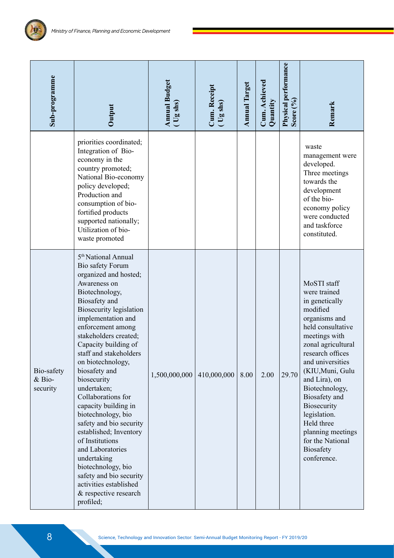原

| Sub-programme                                 | Output                                                                                                                                                                                                                                                                                                                                                                                                                                                                                                                                                                                                                                                      | <b>Annual Budget</b><br>(Ug shs) | Cum. Receipt<br>(Ug shs) | <b>Annual Target</b> | Cum. Achieved<br>Quantity | <b>Physical performance</b><br>Score $(^{0}_{0})$ | Remark                                                                                                                                                                                                                                                                                                                                                                          |
|-----------------------------------------------|-------------------------------------------------------------------------------------------------------------------------------------------------------------------------------------------------------------------------------------------------------------------------------------------------------------------------------------------------------------------------------------------------------------------------------------------------------------------------------------------------------------------------------------------------------------------------------------------------------------------------------------------------------------|----------------------------------|--------------------------|----------------------|---------------------------|---------------------------------------------------|---------------------------------------------------------------------------------------------------------------------------------------------------------------------------------------------------------------------------------------------------------------------------------------------------------------------------------------------------------------------------------|
|                                               | priorities coordinated;<br>Integration of Bio-<br>economy in the<br>country promoted;<br>National Bio-economy<br>policy developed;<br>Production and<br>consumption of bio-<br>fortified products<br>supported nationally;<br>Utilization of bio-<br>waste promoted                                                                                                                                                                                                                                                                                                                                                                                         |                                  |                          |                      |                           |                                                   | waste<br>management were<br>developed.<br>Three meetings<br>towards the<br>development<br>of the bio-<br>economy policy<br>were conducted<br>and taskforce<br>constituted.                                                                                                                                                                                                      |
| Bio-safety<br>$&\overline{B}$ io-<br>security | 5 <sup>th</sup> National Annual<br>Bio safety Forum<br>organized and hosted;<br>Awareness on<br>Biotechnology,<br>Biosafety and<br><b>Biosecurity legislation</b><br>implementation and<br>enforcement among<br>stakeholders created;<br>Capacity building of<br>staff and stakeholders<br>on biotechnology,<br>biosafety and<br>biosecurity<br>undertaken;<br>Collaborations for<br>capacity building in<br>biotechnology, bio<br>safety and bio security<br>established; Inventory<br>of Institutions<br>and Laboratories<br>undertaking<br>biotechnology, bio<br>safety and bio security<br>activities established<br>& respective research<br>profiled; | 1,500,000,000                    | 410,000,000              | 8.00                 | 2.00                      | 29.70                                             | MoSTI staff<br>were trained<br>in genetically<br>modified<br>organisms and<br>held consultative<br>meetings with<br>zonal agricultural<br>research offices<br>and universities<br>(KIU, Muni, Gulu<br>and Lira), on<br>Biotechnology,<br>Biosafety and<br>Biosecurity<br>legislation.<br>Held three<br>planning meetings<br>for the National<br><b>Biosafety</b><br>conference. |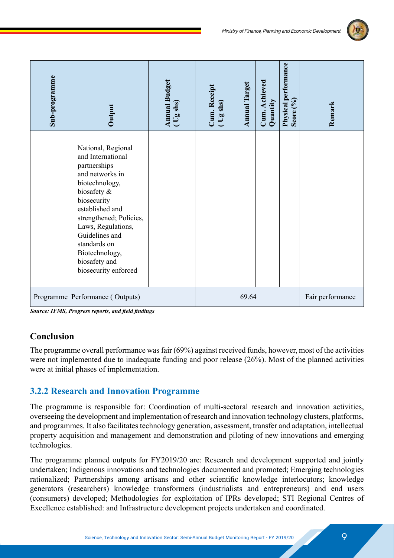

| Sub-programme | Output                                                                                                                                                                                                                                                                                      | <b>Annual Budget</b><br>(Ug shs) | Cum. Receipt<br>(Ug shs) | <b>Annual Target</b> | Cum. Achieved<br>Quantity | Physical performance<br>Score (%) | Remark           |
|---------------|---------------------------------------------------------------------------------------------------------------------------------------------------------------------------------------------------------------------------------------------------------------------------------------------|----------------------------------|--------------------------|----------------------|---------------------------|-----------------------------------|------------------|
|               | National, Regional<br>and International<br>partnerships<br>and networks in<br>biotechnology,<br>biosafety &<br>biosecurity<br>established and<br>strengthened; Policies,<br>Laws, Regulations,<br>Guidelines and<br>standards on<br>Biotechnology,<br>biosafety and<br>biosecurity enforced |                                  |                          |                      |                           |                                   |                  |
|               | Programme Performance (Outputs)                                                                                                                                                                                                                                                             |                                  |                          | 69.64                |                           |                                   | Fair performance |

*Source: IFMS, Progress reports, and field findings*

#### **Conclusion**

The programme overall performance was fair (69%) against received funds, however, most of the activities were not implemented due to inadequate funding and poor release (26%). Most of the planned activities were at initial phases of implementation.

#### **3.2.2 Research and Innovation Programme**

The programme is responsible for: Coordination of multi-sectoral research and innovation activities, overseeing the development and implementation of research and innovation technology clusters, platforms, and programmes. It also facilitates technology generation, assessment, transfer and adaptation, intellectual property acquisition and management and demonstration and piloting of new innovations and emerging technologies.

The programme planned outputs for FY2019/20 are: Research and development supported and jointly undertaken; Indigenous innovations and technologies documented and promoted; Emerging technologies rationalized; Partnerships among artisans and other scientific knowledge interlocutors; knowledge generators (researchers) knowledge transformers (industrialists and entrepreneurs) and end users (consumers) developed; Methodologies for exploitation of IPRs developed; STI Regional Centres of Excellence established: and Infrastructure development projects undertaken and coordinated.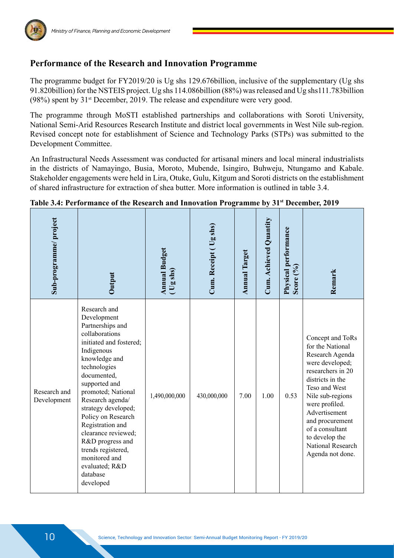

The programme budget for FY2019/20 is Ug shs 129.676billion, inclusive of the supplementary (Ug shs 91.820billion) for the NSTEIS project. Ug shs 114.086billion (88%) was released and Ug shs111.783billion  $(98%)$  spent by  $31<sup>st</sup>$  December, 2019. The release and expenditure were very good.

The programme through MoSTI established partnerships and collaborations with Soroti University, National Semi-Arid Resources Research Institute and district local governments in West Nile sub-region. Revised concept note for establishment of Science and Technology Parks (STPs) was submitted to the Development Committee.

An Infrastructural Needs Assessment was conducted for artisanal miners and local mineral industrialists in the districts of Namayingo, Busia, Moroto, Mubende, Isingiro, Buhweju, Ntungamo and Kabale. Stakeholder engagements were held in Lira, Otuke, Gulu, Kitgum and Soroti districts on the establishment of shared infrastructure for extraction of shea butter. More information is outlined in table 3.4.

| Sub-programme/project       | Output                                                                                                                                                                                                                                                                                                                                                                                                              | <b>Annual Budget</b><br>$($ Ug shs) | Cum. Receipt (Ug shs) | <b>Annual Target</b> | Cum. Achieved Quantity | Physical performance<br>Score (%) | Remark                                                                                                                                                                                                                                                                                       |
|-----------------------------|---------------------------------------------------------------------------------------------------------------------------------------------------------------------------------------------------------------------------------------------------------------------------------------------------------------------------------------------------------------------------------------------------------------------|-------------------------------------|-----------------------|----------------------|------------------------|-----------------------------------|----------------------------------------------------------------------------------------------------------------------------------------------------------------------------------------------------------------------------------------------------------------------------------------------|
| Research and<br>Development | Research and<br>Development<br>Partnerships and<br>collaborations<br>initiated and fostered;<br>Indigenous<br>knowledge and<br>technologies<br>documented,<br>supported and<br>promoted; National<br>Research agenda/<br>strategy developed;<br>Policy on Research<br>Registration and<br>clearance reviewed;<br>R&D progress and<br>trends registered,<br>monitored and<br>evaluated; R&D<br>database<br>developed | 1,490,000,000                       | 430,000,000           | 7.00                 | 1.00                   | 0.53                              | Concept and ToRs<br>for the National<br>Research Agenda<br>were developed;<br>researchers in 20<br>districts in the<br>Teso and West<br>Nile sub-regions<br>were profiled.<br>Advertisement<br>and procurement<br>of a consultant<br>to develop the<br>National Research<br>Agenda not done. |

#### **Table 3.4: Performance of the Research and Innovation Programme by 31st December, 2019**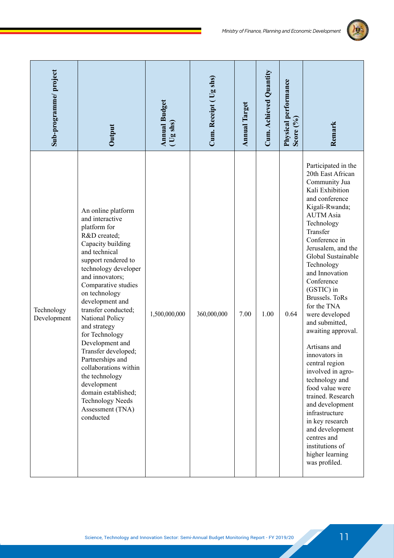

| Sub-programme/project     | Output                                                                                                                                                                                                                                                                                                                                                                                                                                                                                                                          | <b>Annual Budget</b><br>(Ug shs) | Cum. Receipt (Ug shs) | <b>Annual Target</b> | Cum. Achieved Quantity | Physical performance<br>Score (%) | Remark                                                                                                                                                                                                                                                                                                                                                                                                                                                                                                                                                                                                                                                                        |
|---------------------------|---------------------------------------------------------------------------------------------------------------------------------------------------------------------------------------------------------------------------------------------------------------------------------------------------------------------------------------------------------------------------------------------------------------------------------------------------------------------------------------------------------------------------------|----------------------------------|-----------------------|----------------------|------------------------|-----------------------------------|-------------------------------------------------------------------------------------------------------------------------------------------------------------------------------------------------------------------------------------------------------------------------------------------------------------------------------------------------------------------------------------------------------------------------------------------------------------------------------------------------------------------------------------------------------------------------------------------------------------------------------------------------------------------------------|
| Technology<br>Development | An online platform<br>and interactive<br>platform for<br>R&D created;<br>Capacity building<br>and technical<br>support rendered to<br>technology developer<br>and innovators;<br>Comparative studies<br>on technology<br>development and<br>transfer conducted;<br>National Policy<br>and strategy<br>for Technology<br>Development and<br>Transfer developed;<br>Partnerships and<br>collaborations within<br>the technology<br>development<br>domain established;<br><b>Technology Needs</b><br>Assessment (TNA)<br>conducted | 1,500,000,000                    | 360,000,000           | 7.00                 | 1.00                   | 0.64                              | Participated in the<br>20th East African<br>Community Jua<br>Kali Exhibition<br>and conference<br>Kigali-Rwanda;<br><b>AUTM Asia</b><br>Technology<br>Transfer<br>Conference in<br>Jerusalem, and the<br>Global Sustainable<br>Technology<br>and Innovation<br>Conference<br>(GSTIC) in<br><b>Brussels</b> . ToRs<br>for the TNA<br>were developed<br>and submitted,<br>awaiting approval.<br>Artisans and<br>innovators in<br>central region<br>involved in agro-<br>technology and<br>food value were<br>trained. Research<br>and development<br>infrastructure<br>in key research<br>and development<br>centres and<br>institutions of<br>higher learning<br>was profiled. |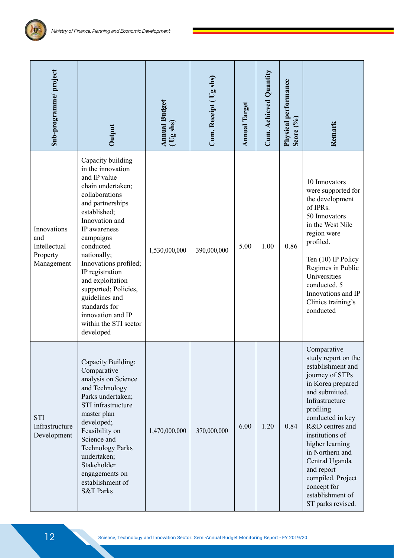| Sub-programme/project                                        | Output                                                                                                                                                                                                                                                                                                                                                                                             | <b>Annual Budget</b><br>(Ug shs) | Cum. Receipt (Ug shs) | <b>Annual Target</b> | Cum. Achieved Quantity | Physical performance<br>Score $(\%)$ | Remark                                                                                                                                                                                                                                                                                                                                                        |
|--------------------------------------------------------------|----------------------------------------------------------------------------------------------------------------------------------------------------------------------------------------------------------------------------------------------------------------------------------------------------------------------------------------------------------------------------------------------------|----------------------------------|-----------------------|----------------------|------------------------|--------------------------------------|---------------------------------------------------------------------------------------------------------------------------------------------------------------------------------------------------------------------------------------------------------------------------------------------------------------------------------------------------------------|
| Innovations<br>and<br>Intellectual<br>Property<br>Management | Capacity building<br>in the innovation<br>and IP value<br>chain undertaken;<br>collaborations<br>and partnerships<br>established;<br>Innovation and<br>IP awareness<br>campaigns<br>conducted<br>nationally;<br>Innovations profiled;<br>IP registration<br>and exploitation<br>supported; Policies,<br>guidelines and<br>standards for<br>innovation and IP<br>within the STI sector<br>developed | 1,530,000,000                    | 390,000,000           | 5.00                 | 1.00                   | 0.86                                 | 10 Innovators<br>were supported for<br>the development<br>of IPRs.<br>50 Innovators<br>in the West Nile<br>region were<br>profiled.<br>Ten (10) IP Policy<br>Regimes in Public<br>Universities<br>conducted. 5<br>Innovations and IP<br>Clinics training's<br>conducted                                                                                       |
| <b>STI</b><br>Infrastructure<br>Development                  | Capacity Building;<br>Comparative<br>analysis on Science<br>and Technology<br>Parks undertaken;<br>STI infrastructure<br>master plan<br>developed;<br>Feasibility on<br>Science and<br><b>Technology Parks</b><br>undertaken;<br>Stakeholder<br>engagements on<br>establishment of<br><b>S&amp;T Parks</b>                                                                                         | 1,470,000,000                    | 370,000,000           | 6.00                 | 1.20                   | 0.84                                 | Comparative<br>study report on the<br>establishment and<br>journey of STPs<br>in Korea prepared<br>and submitted.<br>Infrastructure<br>profiling<br>conducted in key<br>R&D centres and<br>institutions of<br>higher learning<br>in Northern and<br>Central Uganda<br>and report<br>compiled. Project<br>concept for<br>establishment of<br>ST parks revised. |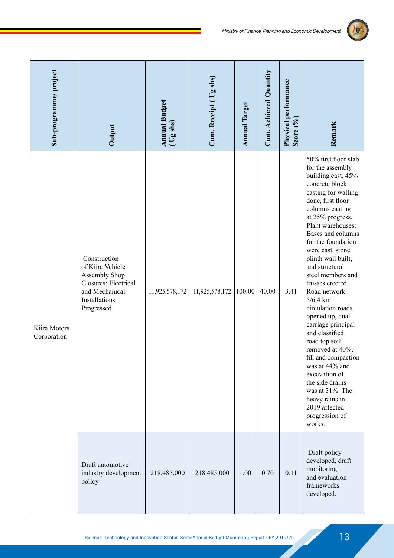

| Sub-programme/project       | Output                                                                                                                     | <b>Annual Budget</b><br>$($ Ug shs) | Cum. Receipt (Ug shs) | <b>Annual Target</b> | Cum. Achieved Quantity | Physical performance<br>Score $(°0)$ | Remark                                                                                                                                                                                                                                                                                                                                                                                                                                                                                                                                                                                                                                                     |
|-----------------------------|----------------------------------------------------------------------------------------------------------------------------|-------------------------------------|-----------------------|----------------------|------------------------|--------------------------------------|------------------------------------------------------------------------------------------------------------------------------------------------------------------------------------------------------------------------------------------------------------------------------------------------------------------------------------------------------------------------------------------------------------------------------------------------------------------------------------------------------------------------------------------------------------------------------------------------------------------------------------------------------------|
| Kiira Motors<br>Corporation | Construction<br>of Kiira Vehicle<br>Assembly Shop<br>Closures; Electrical<br>and Mechanical<br>Installations<br>Progressed | 11,925,578,172                      | 11,925,578,172        | 100.00               | 40.00                  | 3.41                                 | 50% first floor slab<br>for the assembly<br>building cast, 45%<br>concrete block<br>casting for walling<br>done, first floor<br>columns casting<br>at 25% progress.<br>Plant warehouses:<br>Bases and columns<br>for the foundation<br>were cast, stone<br>plinth wall built,<br>and structural<br>steel members and<br>trusses erected.<br>Road network:<br>$5/6.4$ km<br>circulation roads<br>opened up, dual<br>carriage principal<br>and classified<br>road top soil<br>removed at 40%,<br>fill and compaction<br>was at 44% and<br>excavation of<br>the side drains<br>was at 31%. The<br>heavy rains in<br>2019 affected<br>progression of<br>works. |
|                             | Draft automotive<br>industry development<br>policy                                                                         | 218,485,000                         | 218,485,000           | 1.00                 | 0.70                   | 0.11                                 | Draft policy<br>developed, draft<br>monitoring<br>and evaluation<br>frameworks<br>developed.                                                                                                                                                                                                                                                                                                                                                                                                                                                                                                                                                               |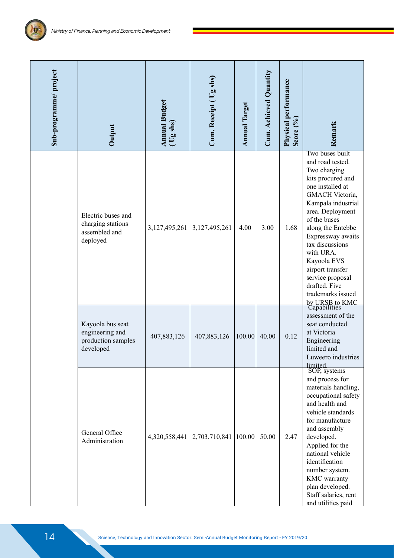| Sub-programme/project | <b>Annual Budget</b><br>(Ug shs)<br>Output                             |                  | Cum. Receipt (Ug shs) | <b>Annual Target</b> | Cum. Achieved Quantity | Physical performance<br>Score $(9/6)$ | Remark                                                                                                                                                                                                                                                                                                                                           |  |
|-----------------------|------------------------------------------------------------------------|------------------|-----------------------|----------------------|------------------------|---------------------------------------|--------------------------------------------------------------------------------------------------------------------------------------------------------------------------------------------------------------------------------------------------------------------------------------------------------------------------------------------------|--|
|                       | Electric buses and<br>charging stations<br>assembled and<br>deployed   | 3, 127, 495, 261 | 3,127,495,261         | 4.00                 | 3.00                   | 1.68                                  | Two buses built<br>and road tested.<br>Two charging<br>kits procured and<br>one installed at<br>GMACH Victoria,<br>Kampala industrial<br>area. Deployment<br>of the buses<br>along the Entebbe<br>Expressway awaits<br>tax discussions<br>with URA.<br>Kayoola EVS<br>airport transfer<br>service proposal<br>drafted. Five<br>trademarks issued |  |
|                       | Kayoola bus seat<br>engineering and<br>production samples<br>developed | 407,883,126      | 407,883,126           | 100.00               | 40.00                  | 0.12                                  | by URSB to KMC<br>Capabilities<br>assessment of the<br>seat conducted<br>at Victoria<br>Engineering<br>limited and<br>Luweero industries<br>limited.                                                                                                                                                                                             |  |
|                       | General Office<br>Administration                                       | 4,320,558,441    | 2,703,710,841         | 100.00               | 50.00                  | 2.47                                  | SOP, systems<br>and process for<br>materials handling,<br>occupational safety<br>and health and<br>vehicle standards<br>for manufacture<br>and assembly<br>developed.<br>Applied for the<br>national vehicle<br>identification<br>number system.<br>KMC warranty<br>plan developed.<br>Staff salaries, rent<br>and utilities paid                |  |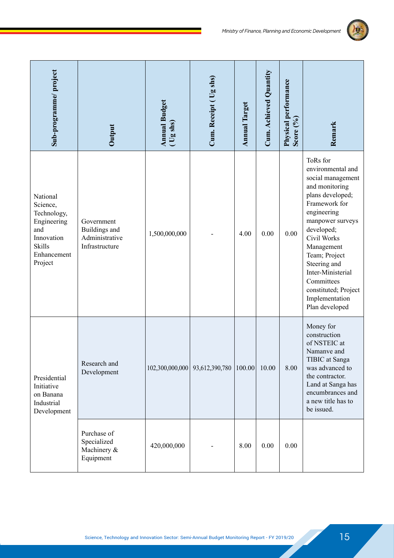

| Sub-programme/project                                                                                              | Output                                                          | <b>Annual Budget</b><br>(Ug shs) | Cum. Receipt (Ug shs) | <b>Annual Target</b> | Cum. Achieved Quantity | Physical performance<br>Score (%) | Remark                                                                                                                                                                                                                                                                                                                  |
|--------------------------------------------------------------------------------------------------------------------|-----------------------------------------------------------------|----------------------------------|-----------------------|----------------------|------------------------|-----------------------------------|-------------------------------------------------------------------------------------------------------------------------------------------------------------------------------------------------------------------------------------------------------------------------------------------------------------------------|
| National<br>Science,<br>Technology,<br>Engineering<br>and<br>Innovation<br><b>Skills</b><br>Enhancement<br>Project | Government<br>Buildings and<br>Administrative<br>Infrastructure | 1,500,000,000                    |                       | 4.00                 | 0.00                   | 0.00                              | ToRs for<br>environmental and<br>social management<br>and monitoring<br>plans developed;<br>Framework for<br>engineering<br>manpower surveys<br>developed;<br>Civil Works<br>Management<br>Team; Project<br>Steering and<br>Inter-Ministerial<br>Committees<br>constituted; Project<br>Implementation<br>Plan developed |
| Presidential<br>Initiative<br>on Banana<br>Industrial<br>Development                                               | Research and<br>Development                                     | 102,300,000,000                  | 93,612,390,780        | 100.00               | 10.00                  | 8.00                              | Money for<br>construction<br>of NSTEIC at<br>Namanve and<br>TIBIC at Sanga<br>was advanced to<br>the contractor.<br>Land at Sanga has<br>encumbrances and<br>a new title has to<br>be issued.                                                                                                                           |
|                                                                                                                    | Purchase of<br>Specialized<br>Machinery &<br>Equipment          | 420,000,000                      |                       | 8.00                 | 0.00                   | 0.00                              |                                                                                                                                                                                                                                                                                                                         |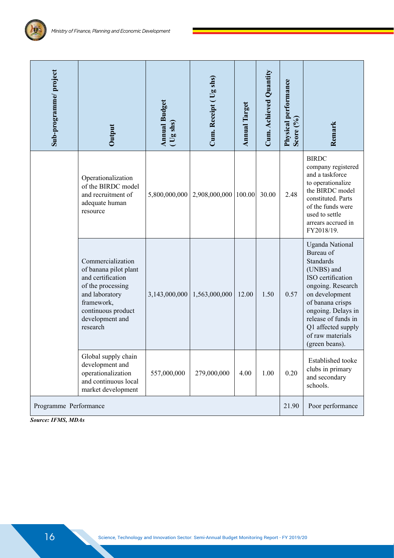| Sub-programme/project | Output                                                                                                                                                                    | <b>Annual Budget</b><br>(Ug shs) | Cum. Receipt (Ug shs)           | <b>Annual Target</b> | Cum. Achieved Quantity | Physical performance<br>Score (%) | Remark                                                                                                                                                                                                                                                         |
|-----------------------|---------------------------------------------------------------------------------------------------------------------------------------------------------------------------|----------------------------------|---------------------------------|----------------------|------------------------|-----------------------------------|----------------------------------------------------------------------------------------------------------------------------------------------------------------------------------------------------------------------------------------------------------------|
|                       | Operationalization<br>of the BIRDC model<br>and recruitment of<br>adequate human<br>resource                                                                              | 5,800,000,000                    | 2,908,000,000                   | 100.00               | 30.00                  | 2.48                              | <b>BIRDC</b><br>company registered<br>and a taskforce<br>to operationalize<br>the BIRDC model<br>constituted. Parts<br>of the funds were<br>used to settle<br>arrears accrued in<br>FY2018/19.                                                                 |
|                       | Commercialization<br>of banana pilot plant<br>and certification<br>of the processing<br>and laboratory<br>framework,<br>continuous product<br>development and<br>research |                                  | $3,143,000,000$   1,563,000,000 | 12.00                | 1.50                   | 0.57                              | <b>Uganda National</b><br>Bureau of<br><b>Standards</b><br>(UNBS) and<br>ISO certification<br>ongoing. Research<br>on development<br>of banana crisps<br>ongoing. Delays in<br>release of funds in<br>Q1 affected supply<br>of raw materials<br>(green beans). |
|                       | Global supply chain<br>development and<br>operationalization<br>and continuous local<br>market development                                                                | 557,000,000                      | 279,000,000                     | 4.00                 | 1.00                   | 0.20                              | Established tooke<br>clubs in primary<br>and secondary<br>schools.                                                                                                                                                                                             |
| Programme Performance |                                                                                                                                                                           |                                  |                                 |                      |                        | 21.90                             | Poor performance                                                                                                                                                                                                                                               |

*Source: IFMS, MDAs*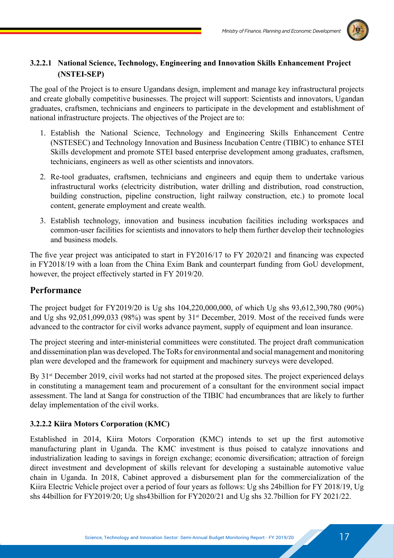

#### **3.2.2.1 National Science, Technology, Engineering and Innovation Skills Enhancement Project (NSTEI-SEP)**

The goal of the Project is to ensure Ugandans design, implement and manage key infrastructural projects and create globally competitive businesses. The project will support: Scientists and innovators, Ugandan graduates, craftsmen, technicians and engineers to participate in the development and establishment of national infrastructure projects. The objectives of the Project are to:

- 1. Establish the National Science, Technology and Engineering Skills Enhancement Centre (NSTESEC) and Technology Innovation and Business Incubation Centre (TIBIC) to enhance STEI Skills development and promote STEI based enterprise development among graduates, craftsmen, technicians, engineers as well as other scientists and innovators.
- 2. Re-tool graduates, craftsmen, technicians and engineers and equip them to undertake various infrastructural works (electricity distribution, water drilling and distribution, road construction, building construction, pipeline construction, light railway construction, etc.) to promote local content, generate employment and create wealth.
- 3. Establish technology, innovation and business incubation facilities including workspaces and common-user facilities for scientists and innovators to help them further develop their technologies and business models.

The five year project was anticipated to start in FY2016/17 to FY 2020/21 and financing was expected in FY2018/19 with a loan from the China Exim Bank and counterpart funding from GoU development, however, the project effectively started in FY 2019/20.

#### **Performance**

The project budget for FY2019/20 is Ug shs 104,220,000,000, of which Ug shs 93,612,390,780 (90%) and Ug shs 92,051,099,033 (98%) was spent by 31st December, 2019. Most of the received funds were advanced to the contractor for civil works advance payment, supply of equipment and loan insurance.

The project steering and inter-ministerial committees were constituted. The project draft communication and dissemination plan was developed. The ToRs for environmental and social management and monitoring plan were developed and the framework for equipment and machinery surveys were developed.

By 31<sup>st</sup> December 2019, civil works had not started at the proposed sites. The project experienced delays in constituting a management team and procurement of a consultant for the environment social impact assessment. The land at Sanga for construction of the TIBIC had encumbrances that are likely to further delay implementation of the civil works.

#### **3.2.2.2 Kiira Motors Corporation (KMC)**

Established in 2014, Kiira Motors Corporation (KMC) intends to set up the first automotive manufacturing plant in Uganda. The KMC investment is thus poised to catalyze innovations and industrialization leading to savings in foreign exchange; economic diversification; attraction of foreign direct investment and development of skills relevant for developing a sustainable automotive value chain in Uganda. In 2018, Cabinet approved a disbursement plan for the commercialization of the Kiira Electric Vehicle project over a period of four years as follows: Ug shs 24billion for FY 2018/19, Ug shs 44billion for FY2019/20; Ug shs43billion for FY2020/21 and Ug shs 32.7billion for FY 2021/22.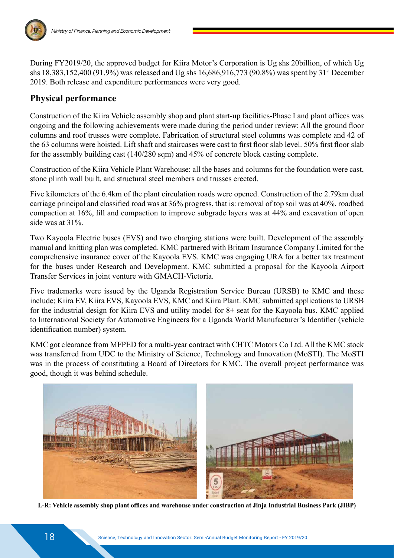

During FY2019/20, the approved budget for Kiira Motor's Corporation is Ug shs 20billion, of which Ug shs 18,383,152,400 (91.9%) was released and Ug shs 16,686,916,773 (90.8%) was spent by 31st December 2019. Both release and expenditure performances were very good.

#### **Physical performance**

Construction of the Kiira Vehicle assembly shop and plant start-up facilities-Phase I and plant offices was ongoing and the following achievements were made during the period under review: All the ground floor columns and roof trusses were complete. Fabrication of structural steel columns was complete and 42 of the 63 columns were hoisted. Lift shaft and staircases were cast to first floor slab level. 50% first floor slab for the assembly building cast (140/280 sqm) and 45% of concrete block casting complete.

Construction of the Kiira Vehicle Plant Warehouse: all the bases and columns for the foundation were cast, stone plinth wall built, and structural steel members and trusses erected.

Five kilometers of the 6.4km of the plant circulation roads were opened. Construction of the 2.79km dual carriage principal and classified road was at 36% progress, that is: removal of top soil was at 40%, roadbed compaction at 16%, fill and compaction to improve subgrade layers was at 44% and excavation of open side was at 31%.

Two Kayoola Electric buses (EVS) and two charging stations were built. Development of the assembly manual and knitting plan was completed. KMC partnered with Britam Insurance Company Limited for the comprehensive insurance cover of the Kayoola EVS. KMC was engaging URA for a better tax treatment for the buses under Research and Development. KMC submitted a proposal for the Kayoola Airport Transfer Services in joint venture with GMACH-Victoria.

Five trademarks were issued by the Uganda Registration Service Bureau (URSB) to KMC and these include; Kiira EV, Kiira EVS, Kayoola EVS, KMC and Kiira Plant. KMC submitted applications to URSB for the industrial design for Kiira EVS and utility model for 8+ seat for the Kayoola bus. KMC applied to International Society for Automotive Engineers for a Uganda World Manufacturer's Identifier (vehicle identification number) system.

KMC got clearance from MFPED for a multi-year contract with CHTC Motors Co Ltd. All the KMC stock was transferred from UDC to the Ministry of Science, Technology and Innovation (MoSTI). The MoSTI was in the process of constituting a Board of Directors for KMC. The overall project performance was good, though it was behind schedule.



**L-R: Vehicle assembly shop plant offices and warehouse under construction at Jinja Industrial Business Park (JIBP)**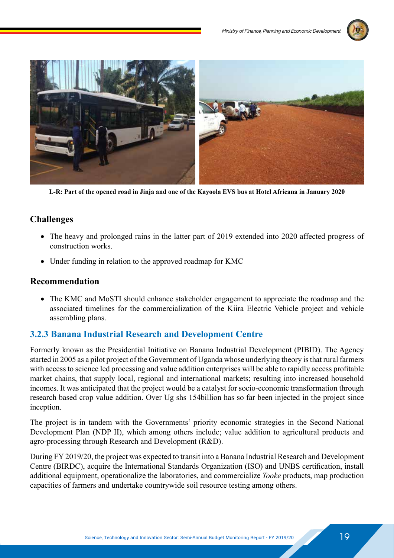



**L-R: Part of the opened road in Jinja and one of the Kayoola EVS bus at Hotel Africana in January 2020**

#### **Challenges**

- The heavy and prolonged rains in the latter part of 2019 extended into 2020 affected progress of construction works.
- Under funding in relation to the approved roadmap for KMC

#### **Recommendation**

• The KMC and MoSTI should enhance stakeholder engagement to appreciate the roadmap and the associated timelines for the commercialization of the Kiira Electric Vehicle project and vehicle assembling plans.

#### **3.2.3 Banana Industrial Research and Development Centre**

Formerly known as the Presidential Initiative on Banana Industrial Development (PIBID). The Agency started in 2005 as a pilot project of the Government of Uganda whose underlying theory is that rural farmers with access to science led processing and value addition enterprises will be able to rapidly access profitable market chains, that supply local, regional and international markets; resulting into increased household incomes. It was anticipated that the project would be a catalyst for socio-economic transformation through research based crop value addition. Over Ug shs 154billion has so far been injected in the project since inception.

The project is in tandem with the Governments' priority economic strategies in the Second National Development Plan (NDP II), which among others include; value addition to agricultural products and agro-processing through Research and Development (R&D).

During FY 2019/20, the project was expected to transit into a Banana Industrial Research and Development Centre (BIRDC), acquire the International Standards Organization (ISO) and UNBS certification, install additional equipment, operationalize the laboratories, and commercialize *Tooke* products, map production capacities of farmers and undertake countrywide soil resource testing among others.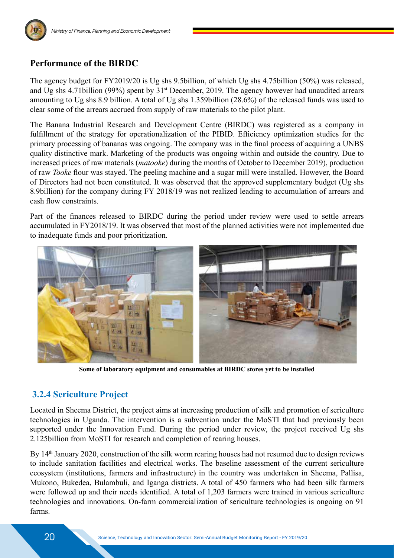

#### **Performance of the BIRDC**

The agency budget for FY2019/20 is Ug shs 9.5billion, of which Ug shs 4.75billion (50%) was released, and Ug shs 4.71billion (99%) spent by 31st December, 2019. The agency however had unaudited arrears amounting to Ug shs 8.9 billion. A total of Ug shs 1.359billion (28.6%) of the released funds was used to clear some of the arrears accrued from supply of raw materials to the pilot plant.

The Banana Industrial Research and Development Centre (BIRDC) was registered as a company in fulfillment of the strategy for operationalization of the PIBID. Efficiency optimization studies for the primary processing of bananas was ongoing. The company was in the final process of acquiring a UNBS quality distinctive mark. Marketing of the products was ongoing within and outside the country. Due to increased prices of raw materials (*matooke*) during the months of October to December 2019), production of raw *Tooke* flour was stayed. The peeling machine and a sugar mill were installed. However, the Board of Directors had not been constituted. It was observed that the approved supplementary budget (Ug shs 8.9billion) for the company during FY 2018/19 was not realized leading to accumulation of arrears and cash flow constraints.

Part of the finances released to BIRDC during the period under review were used to settle arrears accumulated in FY2018/19. It was observed that most of the planned activities were not implemented due to inadequate funds and poor prioritization.



**Some of laboratory equipment and consumables at BIRDC stores yet to be installed**

#### **3.2.4 Sericulture Project**

Located in Sheema District, the project aims at increasing production of silk and promotion of sericulture technologies in Uganda. The intervention is a subvention under the MoSTI that had previously been supported under the Innovation Fund. During the period under review, the project received Ug shs 2.125billion from MoSTI for research and completion of rearing houses.

By 14<sup>th</sup> January 2020, construction of the silk worm rearing houses had not resumed due to design reviews to include sanitation facilities and electrical works. The baseline assessment of the current sericulture ecosystem (institutions, farmers and infrastructure) in the country was undertaken in Sheema, Pallisa, Mukono, Bukedea, Bulambuli, and Iganga districts. A total of 450 farmers who had been silk farmers were followed up and their needs identified. A total of 1,203 farmers were trained in various sericulture technologies and innovations. On-farm commercialization of sericulture technologies is ongoing on 91 farms.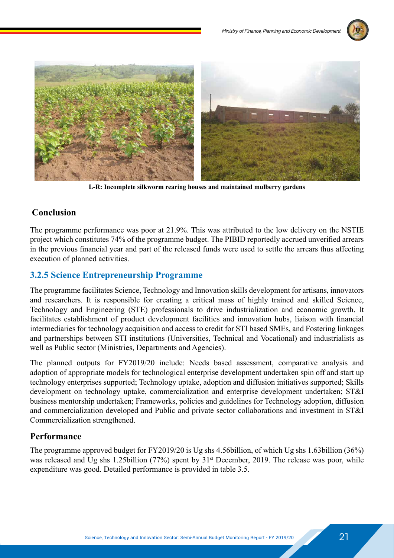



**L-R: Incomplete silkworm rearing houses and maintained mulberry gardens**

#### **Conclusion**

The programme performance was poor at 21.9%. This was attributed to the low delivery on the NSTIE project which constitutes 74% of the programme budget. The PIBID reportedly accrued unverified arrears in the previous financial year and part of the released funds were used to settle the arrears thus affecting execution of planned activities.

#### **3.2.5 Science Entrepreneurship Programme**

The programme facilitates Science, Technology and Innovation skills development for artisans, innovators and researchers. It is responsible for creating a critical mass of highly trained and skilled Science, Technology and Engineering (STE) professionals to drive industrialization and economic growth. It facilitates establishment of product development facilities and innovation hubs, liaison with financial intermediaries for technology acquisition and access to credit for STI based SMEs, and Fostering linkages and partnerships between STI institutions (Universities, Technical and Vocational) and industrialists as well as Public sector (Ministries, Departments and Agencies).

The planned outputs for FY2019/20 include: Needs based assessment, comparative analysis and adoption of appropriate models for technological enterprise development undertaken spin off and start up technology enterprises supported; Technology uptake, adoption and diffusion initiatives supported; Skills development on technology uptake, commercialization and enterprise development undertaken; ST&I business mentorship undertaken; Frameworks, policies and guidelines for Technology adoption, diffusion and commercialization developed and Public and private sector collaborations and investment in ST&I Commercialization strengthened.

#### **Performance**

The programme approved budget for FY2019/20 is Ug shs 4.56billion, of which Ug shs 1.63billion (36%) was released and Ug shs 1.25billion (77%) spent by 31<sup>st</sup> December, 2019. The release was poor, while expenditure was good. Detailed performance is provided in table 3.5.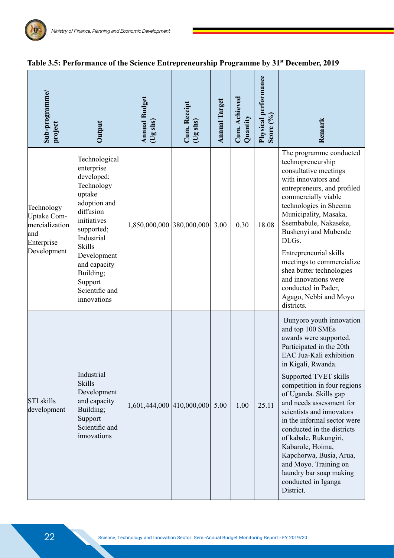| Sub-programme/<br>project                                                       | Output                                                                                                                                                                                                                                             | <b>Annual Budget</b><br>(Ug shs) | Cum. Receipt<br>(Ug shs) | <b>Annual Target</b> | Cum. Achieved<br>Quantity | Physical performance<br>Score (%) | Remark                                                                                                                                                                                                                                                                                                                                                                                                                                                                                                                     |
|---------------------------------------------------------------------------------|----------------------------------------------------------------------------------------------------------------------------------------------------------------------------------------------------------------------------------------------------|----------------------------------|--------------------------|----------------------|---------------------------|-----------------------------------|----------------------------------------------------------------------------------------------------------------------------------------------------------------------------------------------------------------------------------------------------------------------------------------------------------------------------------------------------------------------------------------------------------------------------------------------------------------------------------------------------------------------------|
| Technology<br>Uptake Com-<br>mercialization<br>and<br>Enterprise<br>Development | Technological<br>enterprise<br>developed;<br>Technology<br>uptake<br>adoption and<br>diffusion<br>initiatives<br>supported;<br>Industrial<br><b>Skills</b><br>Development<br>and capacity<br>Building;<br>Support<br>Scientific and<br>innovations | 1,850,000,000 380,000,000        |                          | 3.00                 | 0.30                      | 18.08                             | The programme conducted<br>technopreneurship<br>consultative meetings<br>with innovators and<br>entrepreneurs, and profiled<br>commercially viable<br>technologies in Sheema<br>Municipality, Masaka,<br>Ssembabule, Nakaseke,<br>Bushenyi and Mubende<br>DLGs.<br>Entrepreneurial skills<br>meetings to commercialize<br>shea butter technologies<br>and innovations were<br>conducted in Pader,<br>Agago, Nebbi and Moyo<br>districts.                                                                                   |
| <b>STI</b> skills<br>development                                                | Industrial<br><b>Skills</b><br>Development<br>and capacity<br>Building;<br>Support<br>Scientific and<br>innovations                                                                                                                                | 1,601,444,000 410,000,000        |                          | 5.00                 | 1.00                      | 25.11                             | Bunyoro youth innovation<br>and top 100 SMEs<br>awards were supported.<br>Participated in the 20th<br>EAC Jua-Kali exhibition<br>in Kigali, Rwanda.<br>Supported TVET skills<br>competition in four regions<br>of Uganda. Skills gap<br>and needs assessment for<br>scientists and innovators<br>in the informal sector were<br>conducted in the districts<br>of kabale, Rukungiri,<br>Kabarole, Hoima,<br>Kapchorwa, Busia, Arua,<br>and Moyo. Training on<br>laundry bar soap making<br>conducted in Iganga<br>District. |

#### **Table 3.5: Performance of the Science Entrepreneurship Programme by 31st December, 2019**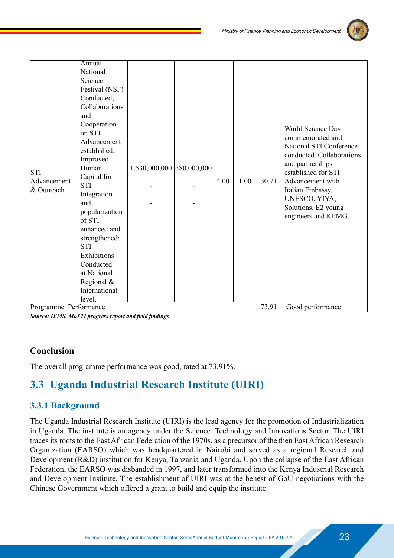

| <b>STI</b><br>Advancement<br>& Outreach | Annual<br>National<br>Science<br>Festival (NSF)<br>Conducted;<br>Collaborations<br>and<br>Cooperation<br>on STI<br>Advancement<br>established;<br>Improved<br>Human<br>Capital for<br><b>STI</b><br>Integration<br>and<br>popularization<br>of STI<br>enhanced and<br>strengthened;<br><b>STI</b><br>Exhibitions<br>Conducted<br>at National,<br>Regional & | 1,530,000,000 380,000,000 |  | 4.00 | 1.00 | 30.71 | World Science Day<br>commemorated and<br>National STI Conference<br>conducted. Collaborations<br>and partnerships<br>established for STI<br>Advancement with<br>Italian Embassy,<br>UNESCO, YIYA,<br>Solutions, E2 young<br>engineers and KPMG. |
|-----------------------------------------|-------------------------------------------------------------------------------------------------------------------------------------------------------------------------------------------------------------------------------------------------------------------------------------------------------------------------------------------------------------|---------------------------|--|------|------|-------|-------------------------------------------------------------------------------------------------------------------------------------------------------------------------------------------------------------------------------------------------|
|-----------------------------------------|-------------------------------------------------------------------------------------------------------------------------------------------------------------------------------------------------------------------------------------------------------------------------------------------------------------------------------------------------------------|---------------------------|--|------|------|-------|-------------------------------------------------------------------------------------------------------------------------------------------------------------------------------------------------------------------------------------------------|

*Source: IFMS, MoSTI progress report and field findings*

#### **Conclusion**

The overall programme performance was good, rated at 73.91%.

## **3.3 Uganda Industrial Research Institute (UIRI)**

#### **3.3.1 Background**

The Uganda Industrial Research Institute (UIRI) is the lead agency for the promotion of Industrialization in Uganda. The institute is an agency under the Science, Technology and Innovations Sector. The UIRI traces its roots to the East African Federation of the 1970s, as a precursor of the then East African Research Organization (EARSO) which was headquartered in Nairobi and served as a regional Research and Development (R&D) institution for Kenya, Tanzania and Uganda. Upon the collapse of the East African Federation, the EARSO was disbanded in 1997, and later transformed into the Kenya Industrial Research and Development Institute. The establishment of UIRI was at the behest of GoU negotiations with the Chinese Government which offered a grant to build and equip the institute.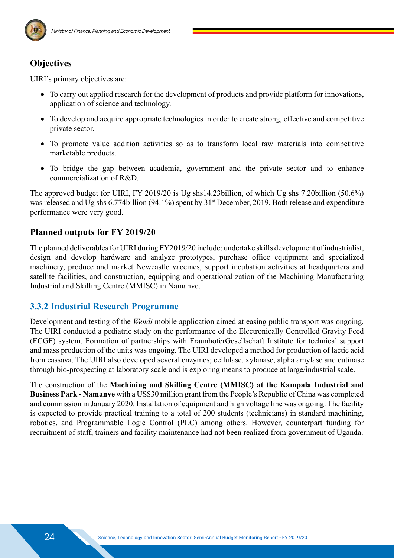

#### **Objectives**

UIRI's primary objectives are:

- To carry out applied research for the development of products and provide platform for innovations, application of science and technology.
- To develop and acquire appropriate technologies in order to create strong, effective and competitive private sector.
- To promote value addition activities so as to transform local raw materials into competitive marketable products.
- To bridge the gap between academia, government and the private sector and to enhance commercialization of R&D.

The approved budget for UIRI, FY 2019/20 is Ug shs14.23billion, of which Ug shs 7.20billion (50.6%) was released and Ug shs 6.774billion (94.1%) spent by 31<sup>st</sup> December, 2019. Both release and expenditure performance were very good.

#### **Planned outputs for FY 2019/20**

The planned deliverables for UIRI during FY2019/20 include: undertake skills development of industrialist, design and develop hardware and analyze prototypes, purchase office equipment and specialized machinery, produce and market Newcastle vaccines, support incubation activities at headquarters and satellite facilities, and construction, equipping and operationalization of the Machining Manufacturing Industrial and Skilling Centre (MMISC) in Namanve.

#### **3.3.2 Industrial Research Programme**

Development and testing of the *Wendi* mobile application aimed at easing public transport was ongoing. The UIRI conducted a pediatric study on the performance of the Electronically Controlled Gravity Feed (ECGF) system. Formation of partnerships with FraunhoferGesellschaft Institute for technical support and mass production of the units was ongoing. The UIRI developed a method for production of lactic acid from cassava. The UIRI also developed several enzymes; cellulase, xylanase, alpha amylase and cutinase through bio-prospecting at laboratory scale and is exploring means to produce at large/industrial scale.

The construction of the **Machining and Skilling Centre (MMISC) at the Kampala Industrial and Business Park - Namanve** with a US\$30 million grant from the People's Republic of China was completed and commission in January 2020. Installation of equipment and high voltage line was ongoing. The facility is expected to provide practical training to a total of 200 students (technicians) in standard machining, robotics, and Programmable Logic Control (PLC) among others. However, counterpart funding for recruitment of staff, trainers and facility maintenance had not been realized from government of Uganda.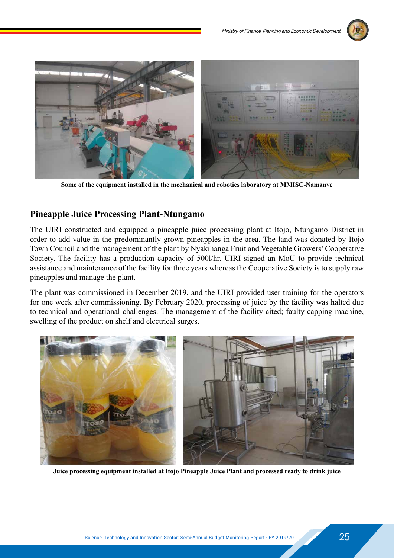



**Some of the equipment installed in the mechanical and robotics laboratory at MMISC-Namanve**

#### **Pineapple Juice Processing Plant-Ntungamo**

The UIRI constructed and equipped a pineapple juice processing plant at Itojo, Ntungamo District in order to add value in the predominantly grown pineapples in the area. The land was donated by Itojo Town Council and the management of the plant by Nyakihanga Fruit and Vegetable Growers' Cooperative Society. The facility has a production capacity of 500l/hr. UIRI signed an MoU to provide technical assistance and maintenance of the facility for three years whereas the Cooperative Society is to supply raw pineapples and manage the plant.

The plant was commissioned in December 2019, and the UIRI provided user training for the operators for one week after commissioning. By February 2020, processing of juice by the facility was halted due to technical and operational challenges. The management of the facility cited; faulty capping machine, swelling of the product on shelf and electrical surges.



**Juice processing equipment installed at Itojo Pineapple Juice Plant and processed ready to drink juice**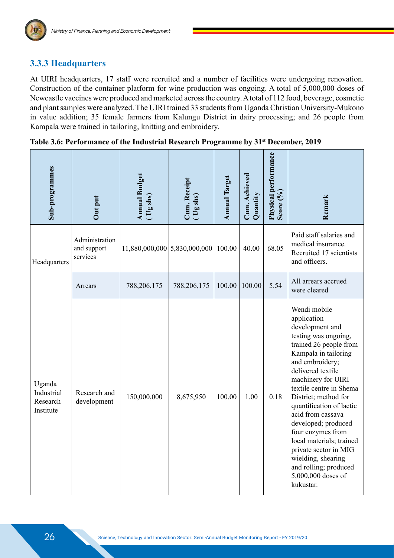#### **3.3.3 Headquarters**

At UIRI headquarters, 17 staff were recruited and a number of facilities were undergoing renovation. Construction of the container platform for wine production was ongoing. A total of 5,000,000 doses of Newcastle vaccines were produced and marketed across the country. A total of 112 food, beverage, cosmetic and plant samples were analyzed. The UIRI trained 33 students from Uganda Christian University-Mukono in value addition; 35 female farmers from Kalungu District in dairy processing; and 26 people from Kampala were trained in tailoring, knitting and embroidery.

| Sub-programmes                                | Out put                                   | <b>Annual Budget</b><br>(Ug shs) | Cum. Receipt<br>(Ug shs) | <b>Annual Target</b> | Cum. Achieved<br>Quantity | Physical performance<br>Score $(^{0}_{0})$ | Remark                                                                                                                                                                                                                                                                                                                                                                                                                                                                        |
|-----------------------------------------------|-------------------------------------------|----------------------------------|--------------------------|----------------------|---------------------------|--------------------------------------------|-------------------------------------------------------------------------------------------------------------------------------------------------------------------------------------------------------------------------------------------------------------------------------------------------------------------------------------------------------------------------------------------------------------------------------------------------------------------------------|
| Headquarters                                  | Administration<br>and support<br>services | $11,880,000,000$ 5,830,000,000   |                          | 100.00               | 40.00                     | 68.05                                      | Paid staff salaries and<br>medical insurance.<br>Recruited 17 scientists<br>and officers.                                                                                                                                                                                                                                                                                                                                                                                     |
|                                               | Arrears                                   | 788,206,175                      | 788,206,175              | 100.00               | 100.00                    | 5.54                                       | All arrears accrued<br>were cleared                                                                                                                                                                                                                                                                                                                                                                                                                                           |
| Uganda<br>Industrial<br>Research<br>Institute | Research and<br>development               | 150,000,000                      | 8,675,950                | 100.00               | 1.00                      | 0.18                                       | Wendi mobile<br>application<br>development and<br>testing was ongoing,<br>trained 26 people from<br>Kampala in tailoring<br>and embroidery;<br>delivered textile<br>machinery for UIRI<br>textile centre in Shema<br>District; method for<br>quantification of lactic<br>acid from cassava<br>developed; produced<br>four enzymes from<br>local materials; trained<br>private sector in MIG<br>wielding, shearing<br>and rolling; produced<br>5,000,000 doses of<br>kukustar. |

Table 3.6: Performance of the Industrial Research Programme by 31<sup>st</sup> December, 2019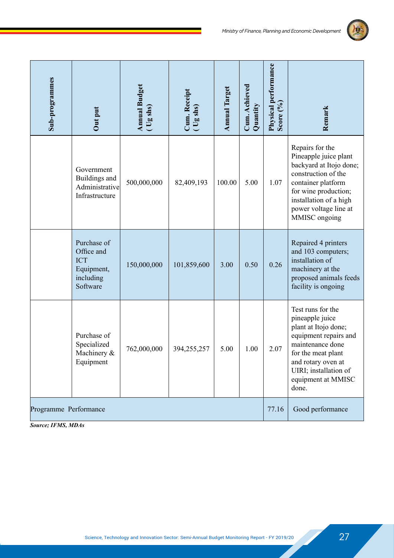

| Sub-programmes        | Out put                                                                        | <b>Annual Budget</b><br>$(Ug \, \text{sh}s)$ | Cum. Receipt<br>$($ Ug shs) | <b>Annual Target</b> | Cum. Achieved<br>Quantity | Physical performance<br>Score $(°0)$ | Remark                                                                                                                                                                                                        |
|-----------------------|--------------------------------------------------------------------------------|----------------------------------------------|-----------------------------|----------------------|---------------------------|--------------------------------------|---------------------------------------------------------------------------------------------------------------------------------------------------------------------------------------------------------------|
|                       | Government<br>Buildings and<br>Administrative<br>Infrastructure                | 500,000,000                                  | 82,409,193                  | 100.00               | 5.00                      | 1.07                                 | Repairs for the<br>Pineapple juice plant<br>backyard at Itojo done;<br>construction of the<br>container platform<br>for wine production;<br>installation of a high<br>power voltage line at<br>MMISC ongoing  |
|                       | Purchase of<br>Office and<br><b>ICT</b><br>Equipment,<br>including<br>Software | 150,000,000                                  | 101,859,600                 | 3.00                 | 0.50                      | 0.26                                 | Repaired 4 printers<br>and 103 computers;<br>installation of<br>machinery at the<br>proposed animals feeds<br>facility is ongoing                                                                             |
|                       | Purchase of<br>Specialized<br>Machinery &<br>Equipment                         | 762,000,000                                  | 394,255,257                 | 5.00                 | 1.00                      | 2.07                                 | Test runs for the<br>pineapple juice<br>plant at Itojo done;<br>equipment repairs and<br>maintenance done<br>for the meat plant<br>and rotary oven at<br>UIRI; installation of<br>equipment at MMISC<br>done. |
| Programme Performance |                                                                                |                                              |                             |                      |                           | 77.16                                | Good performance                                                                                                                                                                                              |

*Source; IFMS, MDAs*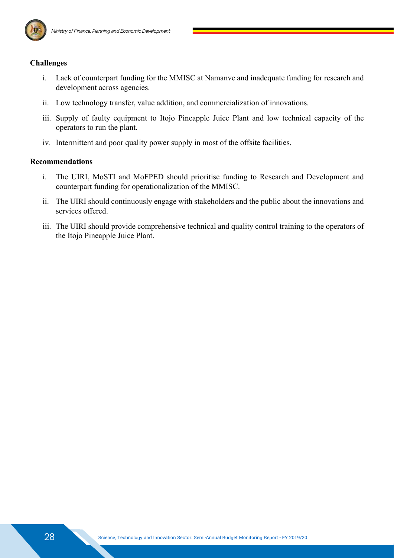

#### **Challenges**

- i. Lack of counterpart funding for the MMISC at Namanve and inadequate funding for research and development across agencies.
- ii. Low technology transfer, value addition, and commercialization of innovations.
- iii. Supply of faulty equipment to Itojo Pineapple Juice Plant and low technical capacity of the operators to run the plant.
- iv. Intermittent and poor quality power supply in most of the offsite facilities.

#### **Recommendations**

- i. The UIRI, MoSTI and MoFPED should prioritise funding to Research and Development and counterpart funding for operationalization of the MMISC.
- ii. The UIRI should continuously engage with stakeholders and the public about the innovations and services offered.
- iii. The UIRI should provide comprehensive technical and quality control training to the operators of the Itojo Pineapple Juice Plant.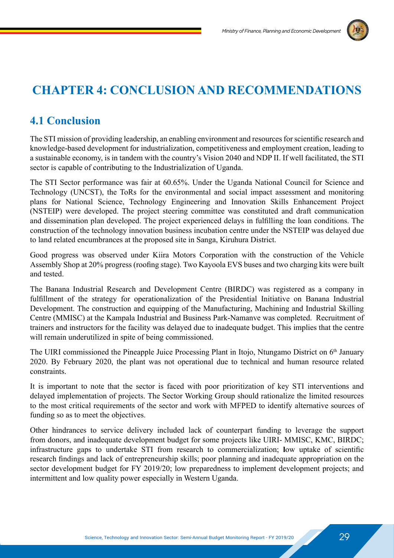

## **CHAPTER 4: CONCLUSION AND RECOMMENDATIONS**

## **4.1 Conclusion**

The STI mission of providing leadership, an enabling environment and resources for scientific research and knowledge-based development for industrialization, competitiveness and employment creation, leading to a sustainable economy, is in tandem with the country's Vision 2040 and NDP II. If well facilitated, the STI sector is capable of contributing to the Industrialization of Uganda.

The STI Sector performance was fair at 60.65%. Under the Uganda National Council for Science and Technology (UNCST), the ToRs for the environmental and social impact assessment and monitoring plans for National Science, Technology Engineering and Innovation Skills Enhancement Project (NSTEIP) were developed. The project steering committee was constituted and draft communication and dissemination plan developed. The project experienced delays in fulfilling the loan conditions. The construction of the technology innovation business incubation centre under the NSTEIP was delayed due to land related encumbrances at the proposed site in Sanga, Kiruhura District.

Good progress was observed under Kiira Motors Corporation with the construction of the Vehicle Assembly Shop at 20% progress (roofing stage). Two Kayoola EVS buses and two charging kits were built and tested.

The Banana Industrial Research and Development Centre (BIRDC) was registered as a company in fulfillment of the strategy for operationalization of the Presidential Initiative on Banana Industrial Development. The construction and equipping of the Manufacturing, Machining and Industrial Skilling Centre (MMISC) at the Kampala Industrial and Business Park-Namanve was completed. Recruitment of trainers and instructors for the facility was delayed due to inadequate budget. This implies that the centre will remain underutilized in spite of being commissioned.

The UIRI commissioned the Pineapple Juice Processing Plant in Itojo, Ntungamo District on  $6<sup>th</sup>$  January 2020. By February 2020, the plant was not operational due to technical and human resource related constraints.

It is important to note that the sector is faced with poor prioritization of key STI interventions and delayed implementation of projects. The Sector Working Group should rationalize the limited resources to the most critical requirements of the sector and work with MFPED to identify alternative sources of funding so as to meet the objectives.

Other hindrances to service delivery included lack of counterpart funding to leverage the support from donors, and inadequate development budget for some projects like UIRI- MMISC, KMC, BIRDC; infrastructure gaps to undertake STI from research to commercialization; **l**ow uptake of scientific research findings and lack of entrepreneurship skills; poor planning and inadequate appropriation on the sector development budget for FY 2019/20; low preparedness to implement development projects; and intermittent and low quality power especially in Western Uganda.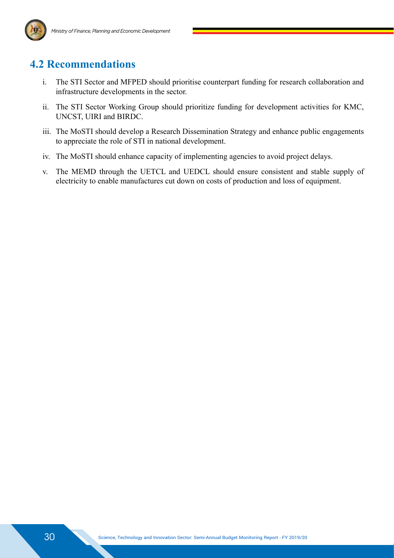

## **4.2 Recommendations**

- i. The STI Sector and MFPED should prioritise counterpart funding for research collaboration and infrastructure developments in the sector.
- ii. The STI Sector Working Group should prioritize funding for development activities for KMC, UNCST, UIRI and BIRDC.
- iii. The MoSTI should develop a Research Dissemination Strategy and enhance public engagements to appreciate the role of STI in national development.
- iv. The MoSTI should enhance capacity of implementing agencies to avoid project delays.
- v. The MEMD through the UETCL and UEDCL should ensure consistent and stable supply of electricity to enable manufactures cut down on costs of production and loss of equipment.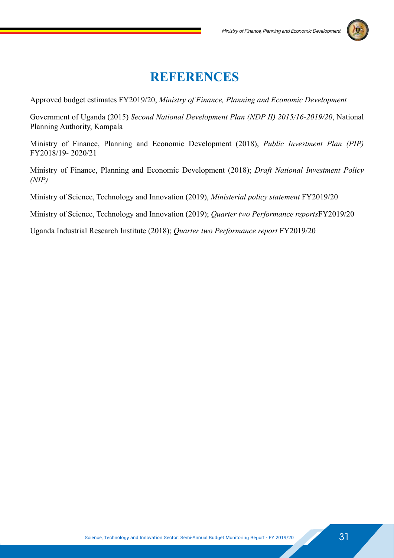

## **REFERENCES**

Approved budget estimates FY2019/20, *Ministry of Finance, Planning and Economic Development*

Government of Uganda (2015) *Second National Development Plan (NDP II) 2015/16-2019/20*, National Planning Authority, Kampala

Ministry of Finance, Planning and Economic Development (2018), *Public Investment Plan (PIP)* FY2018/19- 2020/21

Ministry of Finance, Planning and Economic Development (2018); *Draft National Investment Policy (NIP)*

Ministry of Science, Technology and Innovation (2019), *Ministerial policy statement* FY2019/20

Ministry of Science, Technology and Innovation (2019); *Quarter two Performance reports*FY2019/20

Uganda Industrial Research Institute (2018); *Quarter two Performance report* FY2019/20